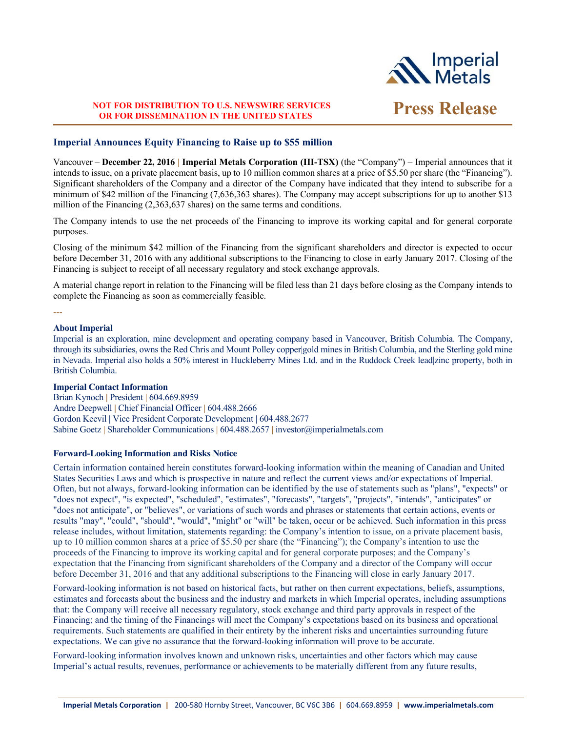

# **NOT FOR DISTRIBUTION TO U.S. NEWSWIRE SERVICES OR FOR DISSEMINATION IN THE UNITED STATES Press Release**

## **Imperial Announces Equity Financing to Raise up to \$55 million**

Vancouver – **December 22, 2016 | Imperial Metals Corporation (III-TSX)** (the "Company") – Imperial announces that it intends to issue, on a private placement basis, up to 10 million common shares at a price of \$5.50 per share (the "Financing"). Significant shareholders of the Company and a director of the Company have indicated that they intend to subscribe for a minimum of \$42 million of the Financing (7,636,363 shares). The Company may accept subscriptions for up to another \$13 million of the Financing (2,363,637 shares) on the same terms and conditions.

The Company intends to use the net proceeds of the Financing to improve its working capital and for general corporate purposes.

Closing of the minimum \$42 million of the Financing from the significant shareholders and director is expected to occur before December 31, 2016 with any additional subscriptions to the Financing to close in early January 2017. Closing of the Financing is subject to receipt of all necessary regulatory and stock exchange approvals.

A material change report in relation to the Financing will be filed less than 21 days before closing as the Company intends to complete the Financing as soon as commercially feasible.

---

## **About Imperial**

Imperial is an exploration, mine development and operating company based in Vancouver, British Columbia. The Company, through its subsidiaries, owns the Red Chris and Mount Polley copper|gold mines in British Columbia, and the Sterling gold mine in Nevada. Imperial also holds a 50% interest in Huckleberry Mines Ltd. and in the Ruddock Creek lead|zinc property, both in British Columbia.

### **Imperial Contact Information**

Brian Kynoch **|** President **|** 604.669.8959 Andre Deepwell **|** Chief Financial Officer **|** 604.488.2666 Gordon Keevil **|** Vice President Corporate Development **|** 604.488.2677 Sabine Goetz **|** Shareholder Communications **|** 604.488.2657 **|** investor@imperialmetals.com

### **Forward-Looking Information and Risks Notice**

Certain information contained herein constitutes forward-looking information within the meaning of Canadian and United States Securities Laws and which is prospective in nature and reflect the current views and/or expectations of Imperial. Often, but not always, forward-looking information can be identified by the use of statements such as "plans", "expects" or "does not expect", "is expected", "scheduled", "estimates", "forecasts", "targets", "projects", "intends", "anticipates" or "does not anticipate", or "believes", or variations of such words and phrases or statements that certain actions, events or results "may", "could", "should", "would", "might" or "will" be taken, occur or be achieved. Such information in this press release includes, without limitation, statements regarding: the Company's intention to issue, on a private placement basis, up to 10 million common shares at a price of \$5.50 per share (the "Financing"); the Company's intention to use the proceeds of the Financing to improve its working capital and for general corporate purposes; and the Company's expectation that the Financing from significant shareholders of the Company and a director of the Company will occur before December 31, 2016 and that any additional subscriptions to the Financing will close in early January 2017.

Forward-looking information is not based on historical facts, but rather on then current expectations, beliefs, assumptions, estimates and forecasts about the business and the industry and markets in which Imperial operates, including assumptions that: the Company will receive all necessary regulatory, stock exchange and third party approvals in respect of the Financing; and the timing of the Financings will meet the Company's expectations based on its business and operational requirements. Such statements are qualified in their entirety by the inherent risks and uncertainties surrounding future expectations. We can give no assurance that the forward-looking information will prove to be accurate.

Forward-looking information involves known and unknown risks, uncertainties and other factors which may cause Imperial's actual results, revenues, performance or achievements to be materially different from any future results,